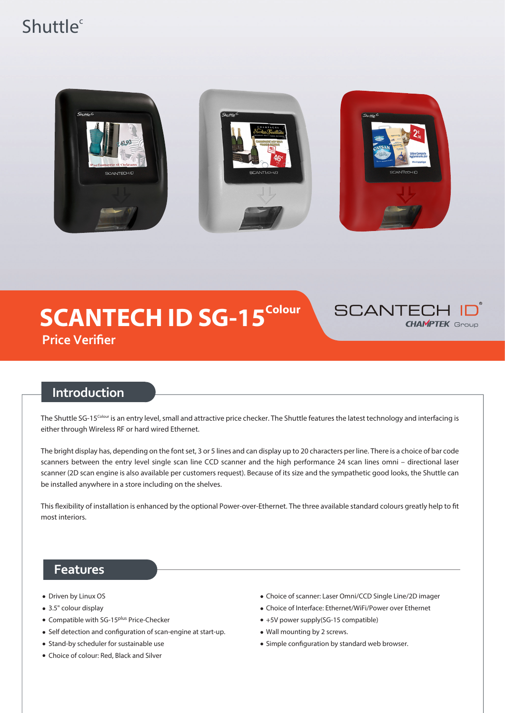# Shuttle<sup>c</sup>



# **SCANTECH ID SG-15<sup>Colour</sup> Price Verifier**



## **Introduction**

The Shuttle SG-15<sup>Colour</sup> is an entry level, small and attractive price checker. The Shuttle features the latest technology and interfacing is either through Wireless RF or hard wired Ethernet.

The bright display has, depending on the font set, 3 or 5 lines and can display up to 20 characters per line. There is a choice of bar code scanners between the entry level single scan line CCD scanner and the high performance 24 scan lines omni – directional laser scanner (2D scan engine is also available per customers request). Because of its size and the sympathetic good looks, the Shuttle can be installed anywhere in a store including on the shelves.

This flexibility of installation is enhanced by the optional Power-over-Ethernet. The three available standard colours greatly help to fit most interiors.

### **Features**

- Driven by Linux OS
- 3.5" colour display
- Compatible with SG-15<sup>plus</sup> Price-Checker
- Self detection and configuration of scan-engine at start-up.
- Stand-by scheduler for sustainable use
- Choice of colour: Red, Black and Silver
- Choice of scanner: Laser Omni/CCD Single Line/2D imager
- Choice of Interface: Ethernet/WiFi/Power over Ethernet
- $\bullet$  +5V power supply(SG-15 compatible)
- Wall mounting by 2 screws.
- Simple configuration by standard web browser.